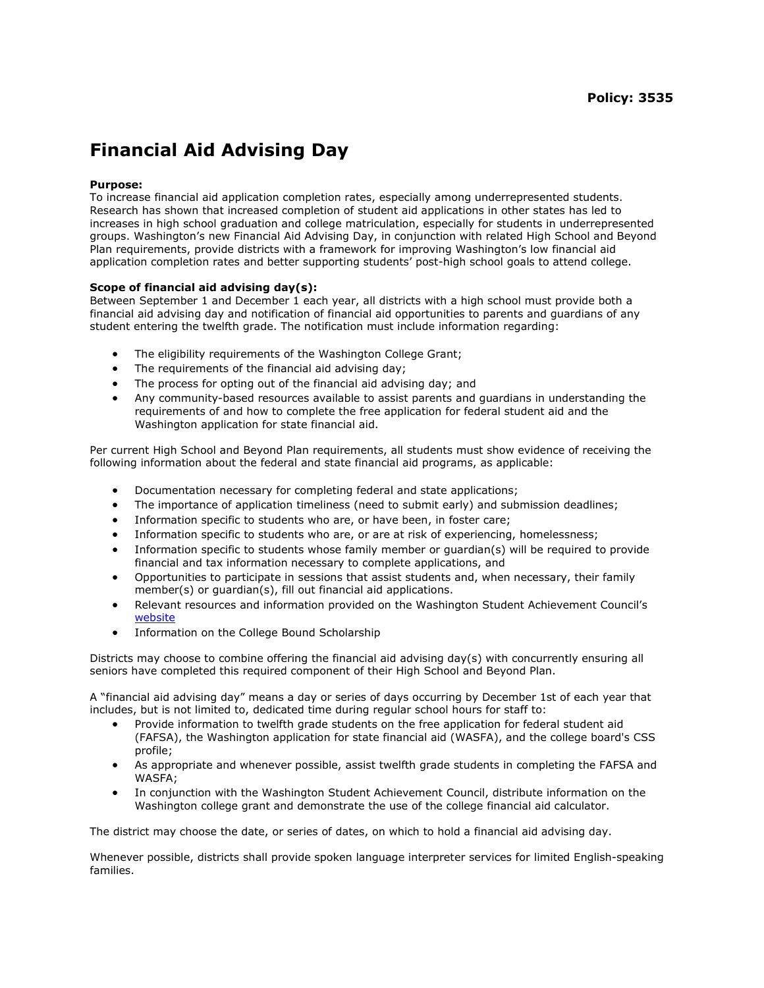## Financial Aid Advising Day

## Purpose:

To increase financial aid application completion rates, especially among underrepresented students. Research has shown that increased completion of student aid applications in other states has led to increases in high school graduation and college matriculation, especially for students in underrepresented groups. Washington's new Financial Aid Advising Day, in conjunction with related High School and Beyond Plan requirements, provide districts with a framework for improving Washington's low financial aid application completion rates and better supporting students' post-high school goals to attend college.

## Scope of financial aid advising day(s):

Between September 1 and December 1 each year, all districts with a high school must provide both a financial aid advising day and notification of financial aid opportunities to parents and guardians of any student entering the twelfth grade. The notification must include information regarding:

- The eligibility requirements of the Washington College Grant;
- The requirements of the financial aid advising day;
- The process for opting out of the financial aid advising day; and
- Any community-based resources available to assist parents and guardians in understanding the requirements of and how to complete the free application for federal student aid and the Washington application for state financial aid.

Per current High School and Beyond Plan requirements, all students must show evidence of receiving the following information about the federal and state financial aid programs, as applicable:

- Documentation necessary for completing federal and state applications;
- The importance of application timeliness (need to submit early) and submission deadlines;
- Information specific to students who are, or have been, in foster care;
- Information specific to students who are, or are at risk of experiencing, homelessness;
- Information specific to students whose family member or guardian(s) will be required to provide financial and tax information necessary to complete applications, and
- Opportunities to participate in sessions that assist students and, when necessary, their family member(s) or guardian(s), fill out financial aid applications.
- Relevant resources and information provided on the Washington Student Achievement Council's website
- Information on the College Bound Scholarship

Districts may choose to combine offering the financial aid advising day(s) with concurrently ensuring all seniors have completed this required component of their High School and Beyond Plan.

A "financial aid advising day" means a day or series of days occurring by December 1st of each year that includes, but is not limited to, dedicated time during regular school hours for staff to:

- Provide information to twelfth grade students on the free application for federal student aid (FAFSA), the Washington application for state financial aid (WASFA), and the college board's CSS profile;
- As appropriate and whenever possible, assist twelfth grade students in completing the FAFSA and WASFA;
- In conjunction with the Washington Student Achievement Council, distribute information on the Washington college grant and demonstrate the use of the college financial aid calculator.

The district may choose the date, or series of dates, on which to hold a financial aid advising day.

Whenever possible, districts shall provide spoken language interpreter services for limited English-speaking families.